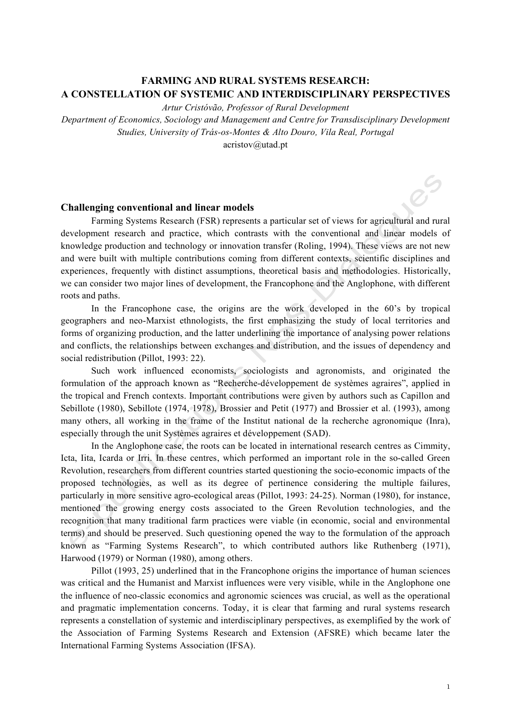# **FARMING AND RURAL SYSTEMS RESEARCH: A CONSTELLATION OF SYSTEMIC AND INTERDISCIPLINARY PERSPECTIVES**

*Artur Cristóvão, Professor of Rural Development*

*Department of Economics, Sociology and Management and Centre for Transdisciplinary Development Studies, University of Trás-os-Montes & Alto Douro, Vila Real, Portugal* acristov@utad.pt

## **Challenging conventional and linear models**

Farming Systems Research (FSR) represents a particular set of views for agricultural and rural development research and practice, which contrasts with the conventional and linear models of knowledge production and technology or innovation transfer (Roling, 1994). These views are not new and were built with multiple contributions coming from different contexts, scientific disciplines and experiences, frequently with distinct assumptions, theoretical basis and methodologies. Historically, we can consider two major lines of development, the Francophone and the Anglophone, with different roots and paths.

In the Francophone case, the origins are the work developed in the 60's by tropical geographers and neo-Marxist ethnologists, the first emphasizing the study of local territories and forms of organizing production, and the latter underlining the importance of analysing power relations and conflicts, the relationships between exchanges and distribution, and the issues of dependency and social redistribution (Pillot, 1993: 22).

Such work influenced economists, sociologists and agronomists, and originated the formulation of the approach known as "Recherche-développement de systèmes agraires", applied in the tropical and French contexts. Important contributions were given by authors such as Capillon and Sebillote (1980), Sebillote (1974, 1978), Brossier and Petit (1977) and Brossier et al. (1993), among many others, all working in the frame of the Institut national de la recherche agronomique (Inra), especially through the unit Systèmes agraires et développement (SAD).

In the Anglophone case, the roots can be located in international research centres as Cimmity, Icta, Iita, Icarda or Irri. In these centres, which performed an important role in the so-called Green Revolution, researchers from different countries started questioning the socio-economic impacts of the proposed technologies, as well as its degree of pertinence considering the multiple failures, particularly in more sensitive agro-ecological areas (Pillot, 1993: 24-25). Norman (1980), for instance, mentioned the growing energy costs associated to the Green Revolution technologies, and the recognition that many traditional farm practices were viable (in economic, social and environmental terms) and should be preserved. Such questioning opened the way to the formulation of the approach known as "Farming Systems Research", to which contributed authors like Ruthenberg (1971), Harwood (1979) or Norman (1980), among others.

Pillot (1993, 25) underlined that in the Francophone origins the importance of human sciences was critical and the Humanist and Marxist influences were very visible, while in the Anglophone one the influence of neo-classic economics and agronomic sciences was crucial, as well as the operational and pragmatic implementation concerns. Today, it is clear that farming and rural systems research represents a constellation of systemic and interdisciplinary perspectives, as exemplified by the work of the Association of Farming Systems Research and Extension (AFSRE) which became later the International Farming Systems Association (IFSA).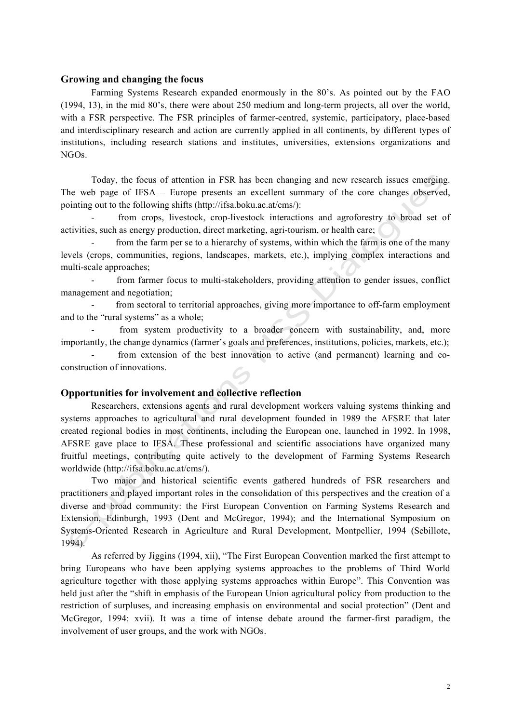## **Growing and changing the focus**

Farming Systems Research expanded enormously in the 80's. As pointed out by the FAO (1994, 13), in the mid 80's, there were about 250 medium and long-term projects, all over the world, with a FSR perspective. The FSR principles of farmer-centred, systemic, participatory, place-based and interdisciplinary research and action are currently applied in all continents, by different types of institutions, including research stations and institutes, universities, extensions organizations and NGOs.

Today, the focus of attention in FSR has been changing and new research issues emerging. The web page of IFSA – Europe presents an excellent summary of the core changes observed, pointing out to the following shifts (http://ifsa.boku.ac.at/cms/):

from crops, livestock, crop-livestock interactions and agroforestry to broad set of activities, such as energy production, direct marketing, agri-tourism, or health care;

from the farm per se to a hierarchy of systems, within which the farm is one of the many levels (crops, communities, regions, landscapes, markets, etc.), implying complex interactions and multi-scale approaches;

from farmer focus to multi-stakeholders, providing attention to gender issues, conflict management and negotiation;

from sectoral to territorial approaches, giving more importance to off-farm employment and to the "rural systems" as a whole;

from system productivity to a broader concern with sustainability, and, more importantly, the change dynamics (farmer's goals and preferences, institutions, policies, markets, etc.);

from extension of the best innovation to active (and permanent) learning and coconstruction of innovations.

#### **Opportunities for involvement and collective reflection**

Researchers, extensions agents and rural development workers valuing systems thinking and systems approaches to agricultural and rural development founded in 1989 the AFSRE that later created regional bodies in most continents, including the European one, launched in 1992. In 1998, AFSRE gave place to IFSA. These professional and scientific associations have organized many fruitful meetings, contributing quite actively to the development of Farming Systems Research worldwide (http://ifsa.boku.ac.at/cms/).

Two major and historical scientific events gathered hundreds of FSR researchers and practitioners and played important roles in the consolidation of this perspectives and the creation of a diverse and broad community: the First European Convention on Farming Systems Research and Extension, Edinburgh, 1993 (Dent and McGregor, 1994); and the International Symposium on Systems-Oriented Research in Agriculture and Rural Development, Montpellier, 1994 (Sebillote, 1994).

As referred by Jiggins (1994, xii), "The First European Convention marked the first attempt to bring Europeans who have been applying systems approaches to the problems of Third World agriculture together with those applying systems approaches within Europe". This Convention was held just after the "shift in emphasis of the European Union agricultural policy from production to the restriction of surpluses, and increasing emphasis on environmental and social protection" (Dent and McGregor, 1994: xvii). It was a time of intense debate around the farmer-first paradigm, the involvement of user groups, and the work with NGOs.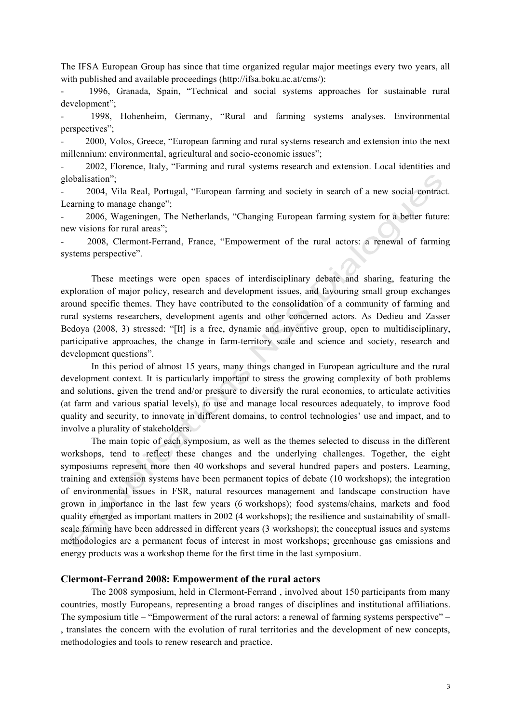The IFSA European Group has since that time organized regular major meetings every two years, all with published and available proceedings (http://ifsa.boku.ac.at/cms/):

1996, Granada, Spain, "Technical and social systems approaches for sustainable rural development";

- 1998, Hohenheim, Germany, "Rural and farming systems analyses. Environmental perspectives";

- 2000, Volos, Greece, "European farming and rural systems research and extension into the next millennium: environmental, agricultural and socio-economic issues";

- 2002, Florence, Italy, "Farming and rural systems research and extension. Local identities and globalisation";

- 2004, Vila Real, Portugal, "European farming and society in search of a new social contract. Learning to manage change":

- 2006, Wageningen, The Netherlands, "Changing European farming system for a better future: new visions for rural areas";

- 2008, Clermont-Ferrand, France, "Empowerment of the rural actors: a renewal of farming systems perspective".

These meetings were open spaces of interdisciplinary debate and sharing, featuring the exploration of major policy, research and development issues, and favouring small group exchanges around specific themes. They have contributed to the consolidation of a community of farming and rural systems researchers, development agents and other concerned actors. As Dedieu and Zasser Bedoya (2008, 3) stressed: "[It] is a free, dynamic and inventive group, open to multidisciplinary, participative approaches, the change in farm-territory scale and science and society, research and development questions".

In this period of almost 15 years, many things changed in European agriculture and the rural development context. It is particularly important to stress the growing complexity of both problems and solutions, given the trend and/or pressure to diversify the rural economies, to articulate activities (at farm and various spatial levels), to use and manage local resources adequately, to improve food quality and security, to innovate in different domains, to control technologies' use and impact, and to involve a plurality of stakeholders.

The main topic of each symposium, as well as the themes selected to discuss in the different workshops, tend to reflect these changes and the underlying challenges. Together, the eight symposiums represent more then 40 workshops and several hundred papers and posters. Learning, training and extension systems have been permanent topics of debate (10 workshops); the integration of environmental issues in FSR, natural resources management and landscape construction have grown in importance in the last few years (6 workshops); food systems/chains, markets and food quality emerged as important matters in 2002 (4 workshops); the resilience and sustainability of smallscale farming have been addressed in different years (3 workshops); the conceptual issues and systems methodologies are a permanent focus of interest in most workshops; greenhouse gas emissions and energy products was a workshop theme for the first time in the last symposium.

## **Clermont-Ferrand 2008: Empowerment of the rural actors**

The 2008 symposium, held in Clermont-Ferrand , involved about 150 participants from many countries, mostly Europeans, representing a broad ranges of disciplines and institutional affiliations. The symposium title – "Empowerment of the rural actors: a renewal of farming systems perspective" – , translates the concern with the evolution of rural territories and the development of new concepts, methodologies and tools to renew research and practice.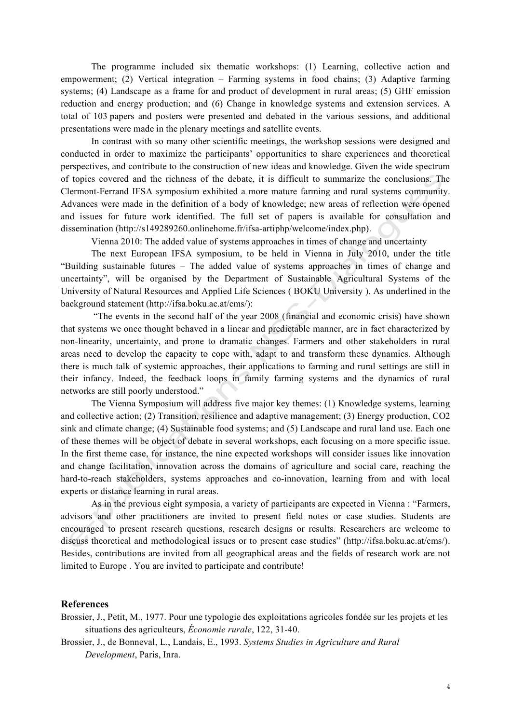The programme included six thematic workshops: (1) Learning, collective action and empowerment; (2) Vertical integration – Farming systems in food chains; (3) Adaptive farming systems; (4) Landscape as a frame for and product of development in rural areas; (5) GHF emission reduction and energy production; and (6) Change in knowledge systems and extension services. A total of 103 papers and posters were presented and debated in the various sessions, and additional presentations were made in the plenary meetings and satellite events.

In contrast with so many other scientific meetings, the workshop sessions were designed and conducted in order to maximize the participants' opportunities to share experiences and theoretical perspectives, and contribute to the construction of new ideas and knowledge. Given the wide spectrum of topics covered and the richness of the debate, it is difficult to summarize the conclusions. The Clermont-Ferrand IFSA symposium exhibited a more mature farming and rural systems community. Advances were made in the definition of a body of knowledge; new areas of reflection were opened and issues for future work identified. The full set of papers is available for consultation and dissemination (http://s149289260.onlinehome.fr/ifsa-artiphp/welcome/index.php).

Vienna 2010: The added value of systems approaches in times of change and uncertainty

The next European IFSA symposium, to be held in Vienna in July 2010, under the title "Building sustainable futures – The added value of systems approaches in times of change and uncertainty", will be organised by the Department of Sustainable Agricultural Systems of the University of Natural Resources and Applied Life Sciences ( BOKU University ). As underlined in the background statement (http://ifsa.boku.ac.at/cms/):

 "The events in the second half of the year 2008 (financial and economic crisis) have shown that systems we once thought behaved in a linear and predictable manner, are in fact characterized by non-linearity, uncertainty, and prone to dramatic changes. Farmers and other stakeholders in rural areas need to develop the capacity to cope with, adapt to and transform these dynamics. Although there is much talk of systemic approaches, their applications to farming and rural settings are still in their infancy. Indeed, the feedback loops in family farming systems and the dynamics of rural networks are still poorly understood."

The Vienna Symposium will address five major key themes: (1) Knowledge systems, learning and collective action; (2) Transition, resilience and adaptive management; (3) Energy production, CO2 sink and climate change; (4) Sustainable food systems; and (5) Landscape and rural land use. Each one of these themes will be object of debate in several workshops, each focusing on a more specific issue. In the first theme case, for instance, the nine expected workshops will consider issues like innovation and change facilitation, innovation across the domains of agriculture and social care, reaching the hard-to-reach stakeholders, systems approaches and co-innovation, learning from and with local experts or distance learning in rural areas.

As in the previous eight symposia, a variety of participants are expected in Vienna : "Farmers, advisors and other practitioners are invited to present field notes or case studies. Students are encouraged to present research questions, research designs or results. Researchers are welcome to discuss theoretical and methodological issues or to present case studies" (http://ifsa.boku.ac.at/cms/). Besides, contributions are invited from all geographical areas and the fields of research work are not limited to Europe . You are invited to participate and contribute!

### **References**

Brossier, J., Petit, M., 1977. Pour une typologie des exploitations agricoles fondée sur les projets et les situations des agriculteurs, *Économie rurale*, 122, 31-40.

Brossier, J., de Bonneval, L., Landais, E., 1993. *Systems Studies in Agriculture and Rural Development*, Paris, Inra.